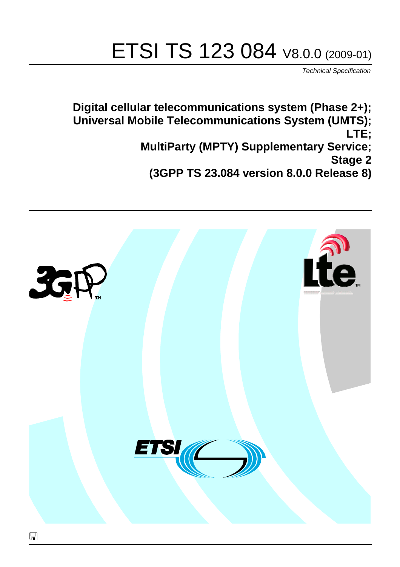# ETSI TS 123 084 V8.0.0 (2009-01)

*Technical Specification*

**Digital cellular telecommunications system (Phase 2+); Universal Mobile Telecommunications System (UMTS); LTE; MultiParty (MPTY) Supplementary Service; Stage 2 (3GPP TS 23.084 version 8.0.0 Release 8)**

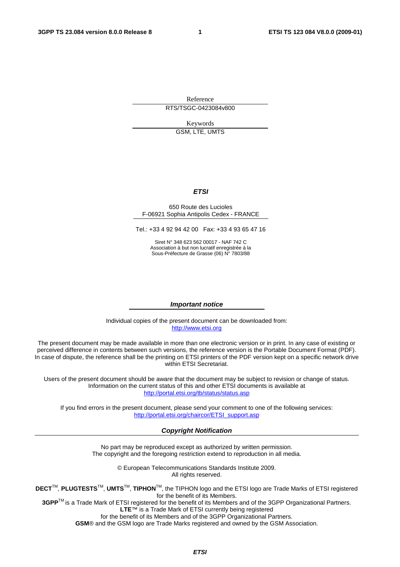Reference RTS/TSGC-0423084v800

Keywords GSM, LTE, UMTS

## *ETSI*

## 650 Route des Lucioles F-06921 Sophia Antipolis Cedex - FRANCE

Tel.: +33 4 92 94 42 00 Fax: +33 4 93 65 47 16

Siret N° 348 623 562 00017 - NAF 742 C Association à but non lucratif enregistrée à la Sous-Préfecture de Grasse (06) N° 7803/88

## *Important notice*

Individual copies of the present document can be downloaded from: [http://www.etsi.org](http://www.etsi.org/)

The present document may be made available in more than one electronic version or in print. In any case of existing or perceived difference in contents between such versions, the reference version is the Portable Document Format (PDF). In case of dispute, the reference shall be the printing on ETSI printers of the PDF version kept on a specific network drive within ETSI Secretariat.

Users of the present document should be aware that the document may be subject to revision or change of status. Information on the current status of this and other ETSI documents is available at <http://portal.etsi.org/tb/status/status.asp>

If you find errors in the present document, please send your comment to one of the following services: [http://portal.etsi.org/chaircor/ETSI\\_support.asp](http://portal.etsi.org/chaircor/ETSI_support.asp)

## *Copyright Notification*

No part may be reproduced except as authorized by written permission. The copyright and the foregoing restriction extend to reproduction in all media.

> © European Telecommunications Standards Institute 2009. All rights reserved.

**DECT**TM, **PLUGTESTS**TM, **UMTS**TM, **TIPHON**TM, the TIPHON logo and the ETSI logo are Trade Marks of ETSI registered for the benefit of its Members.

**3GPP**TM is a Trade Mark of ETSI registered for the benefit of its Members and of the 3GPP Organizational Partners. **LTE**™ is a Trade Mark of ETSI currently being registered

for the benefit of its Members and of the 3GPP Organizational Partners.

**GSM**® and the GSM logo are Trade Marks registered and owned by the GSM Association.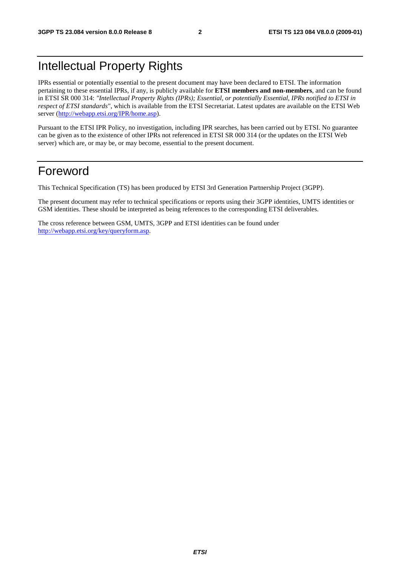# Intellectual Property Rights

IPRs essential or potentially essential to the present document may have been declared to ETSI. The information pertaining to these essential IPRs, if any, is publicly available for **ETSI members and non-members**, and can be found in ETSI SR 000 314: *"Intellectual Property Rights (IPRs); Essential, or potentially Essential, IPRs notified to ETSI in respect of ETSI standards"*, which is available from the ETSI Secretariat. Latest updates are available on the ETSI Web server ([http://webapp.etsi.org/IPR/home.asp\)](http://webapp.etsi.org/IPR/home.asp).

Pursuant to the ETSI IPR Policy, no investigation, including IPR searches, has been carried out by ETSI. No guarantee can be given as to the existence of other IPRs not referenced in ETSI SR 000 314 (or the updates on the ETSI Web server) which are, or may be, or may become, essential to the present document.

# Foreword

This Technical Specification (TS) has been produced by ETSI 3rd Generation Partnership Project (3GPP).

The present document may refer to technical specifications or reports using their 3GPP identities, UMTS identities or GSM identities. These should be interpreted as being references to the corresponding ETSI deliverables.

The cross reference between GSM, UMTS, 3GPP and ETSI identities can be found under [http://webapp.etsi.org/key/queryform.asp.](http://webapp.etsi.org/key/queryform.asp)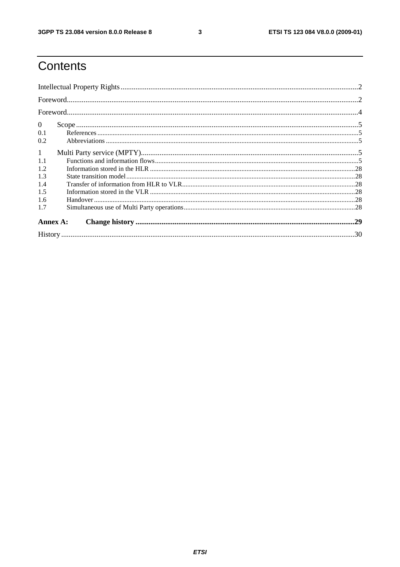$\mathbf{3}$ 

# Contents

| $\overline{0}$ |  |  |  |  |  |
|----------------|--|--|--|--|--|
| 0.1            |  |  |  |  |  |
| 0.2            |  |  |  |  |  |
| $\mathbf{1}$   |  |  |  |  |  |
| 1.1            |  |  |  |  |  |
| 1.2            |  |  |  |  |  |
| 1.3            |  |  |  |  |  |
| 1.4            |  |  |  |  |  |
| 1.5            |  |  |  |  |  |
| 1.6            |  |  |  |  |  |
| 1.7            |  |  |  |  |  |
| Annex A:       |  |  |  |  |  |
|                |  |  |  |  |  |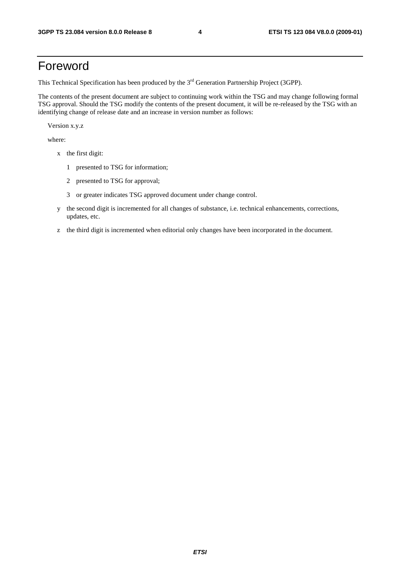# Foreword

This Technical Specification has been produced by the 3<sup>rd</sup> Generation Partnership Project (3GPP).

The contents of the present document are subject to continuing work within the TSG and may change following formal TSG approval. Should the TSG modify the contents of the present document, it will be re-released by the TSG with an identifying change of release date and an increase in version number as follows:

Version x.y.z

where:

- x the first digit:
	- 1 presented to TSG for information;
	- 2 presented to TSG for approval;
	- 3 or greater indicates TSG approved document under change control.
- y the second digit is incremented for all changes of substance, i.e. technical enhancements, corrections, updates, etc.
- z the third digit is incremented when editorial only changes have been incorporated in the document.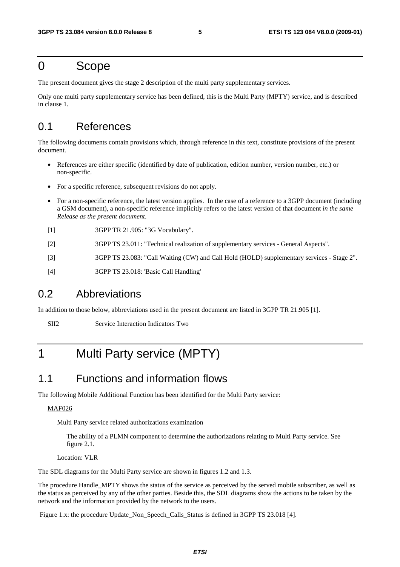# 0 Scope

The present document gives the stage 2 description of the multi party supplementary services.

Only one multi party supplementary service has been defined, this is the Multi Party (MPTY) service, and is described in clause 1.

# 0.1 References

The following documents contain provisions which, through reference in this text, constitute provisions of the present document.

- References are either specific (identified by date of publication, edition number, version number, etc.) or non-specific.
- For a specific reference, subsequent revisions do not apply.
- For a non-specific reference, the latest version applies. In the case of a reference to a 3GPP document (including a GSM document), a non-specific reference implicitly refers to the latest version of that document *in the same Release as the present document*.
- [1] 3GPP TR 21.905: "3G Vocabulary".
- [2] 3GPP TS 23.011: "Technical realization of supplementary services General Aspects".
- [3] 3GPP TS 23.083: "Call Waiting (CW) and Call Hold (HOLD) supplementary services Stage 2".
- [4] 3GPP TS 23.018: 'Basic Call Handling'

## 0.2 Abbreviations

In addition to those below, abbreviations used in the present document are listed in 3GPP TR 21.905 [1].

SII2 Service Interaction Indicators Two

# 1 Multi Party service (MPTY)

## 1.1 Functions and information flows

The following Mobile Additional Function has been identified for the Multi Party service:

## MAF026

Multi Party service related authorizations examination

 The ability of a PLMN component to determine the authorizations relating to Multi Party service. See figure 2.1.

Location: VLR

The SDL diagrams for the Multi Party service are shown in figures 1.2 and 1.3.

The procedure Handle MPTY shows the status of the service as perceived by the served mobile subscriber, as well as the status as perceived by any of the other parties. Beside this, the SDL diagrams show the actions to be taken by the network and the information provided by the network to the users.

Figure 1.x: the procedure Update\_Non\_Speech\_Calls\_Status is defined in 3GPP TS 23.018 [4].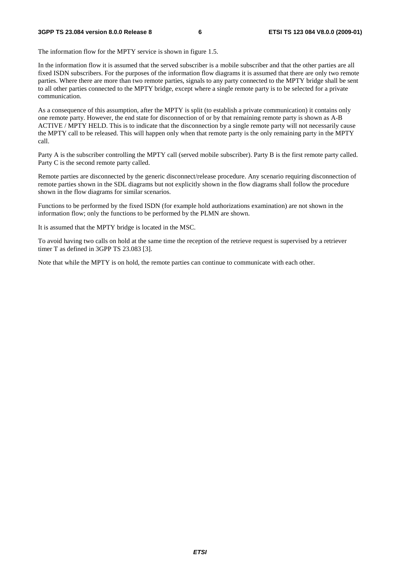### **3GPP TS 23.084 version 8.0.0 Release 8 6 ETSI TS 123 084 V8.0.0 (2009-01)**

The information flow for the MPTY service is shown in figure 1.5.

In the information flow it is assumed that the served subscriber is a mobile subscriber and that the other parties are all fixed ISDN subscribers. For the purposes of the information flow diagrams it is assumed that there are only two remote parties. Where there are more than two remote parties, signals to any party connected to the MPTY bridge shall be sent to all other parties connected to the MPTY bridge, except where a single remote party is to be selected for a private communication.

As a consequence of this assumption, after the MPTY is split (to establish a private communication) it contains only one remote party. However, the end state for disconnection of or by that remaining remote party is shown as A-B ACTIVE / MPTY HELD. This is to indicate that the disconnection by a single remote party will not necessarily cause the MPTY call to be released. This will happen only when that remote party is the only remaining party in the MPTY call.

Party A is the subscriber controlling the MPTY call (served mobile subscriber). Party B is the first remote party called. Party C is the second remote party called.

Remote parties are disconnected by the generic disconnect/release procedure. Any scenario requiring disconnection of remote parties shown in the SDL diagrams but not explicitly shown in the flow diagrams shall follow the procedure shown in the flow diagrams for similar scenarios.

Functions to be performed by the fixed ISDN (for example hold authorizations examination) are not shown in the information flow; only the functions to be performed by the PLMN are shown.

It is assumed that the MPTY bridge is located in the MSC.

To avoid having two calls on hold at the same time the reception of the retrieve request is supervised by a retriever timer T as defined in 3GPP TS 23.083 [3].

Note that while the MPTY is on hold, the remote parties can continue to communicate with each other.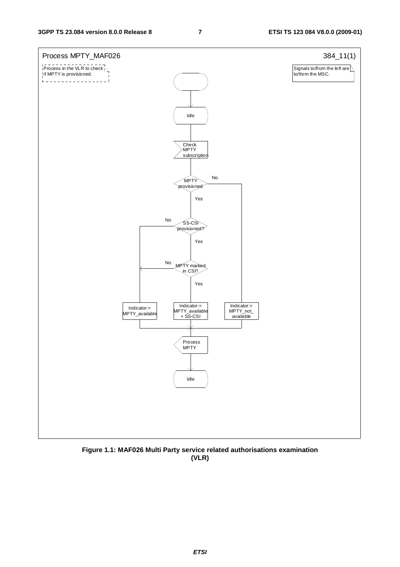

**Figure 1.1: MAF026 Multi Party service related authorisations examination (VLR)** 

*ETSI*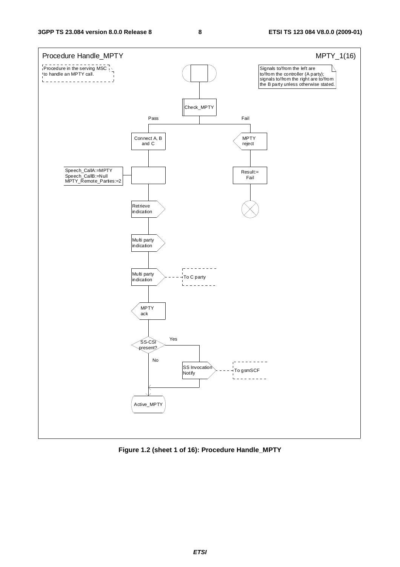

**Figure 1.2 (sheet 1 of 16): Procedure Handle\_MPTY**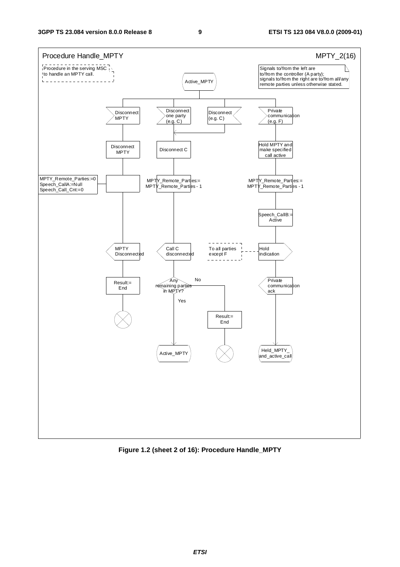

**Figure 1.2 (sheet 2 of 16): Procedure Handle\_MPTY**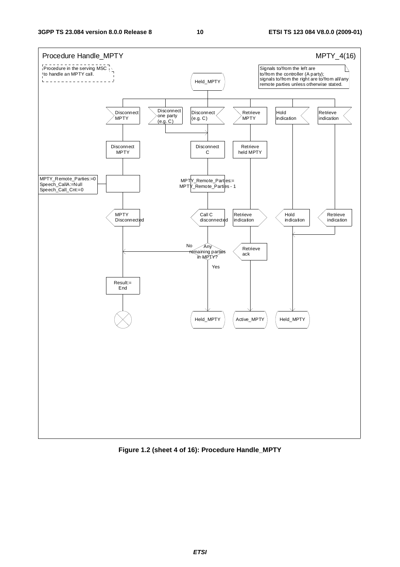

**Figure 1.2 (sheet 4 of 16): Procedure Handle\_MPTY**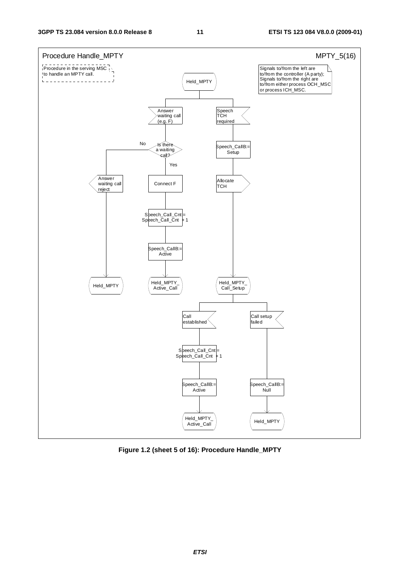

**Figure 1.2 (sheet 5 of 16): Procedure Handle\_MPTY**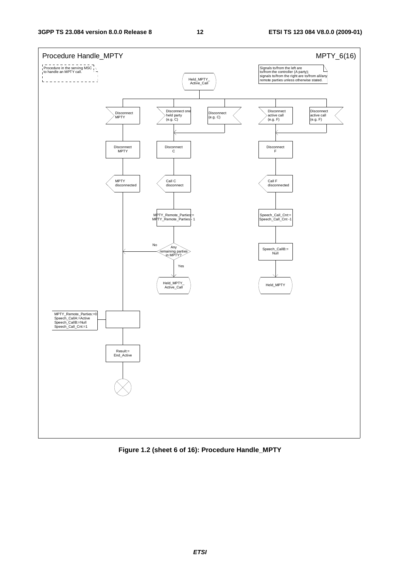

**Figure 1.2 (sheet 6 of 16): Procedure Handle\_MPTY**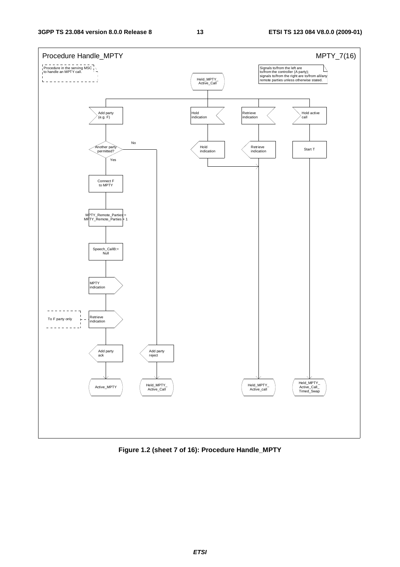

**Figure 1.2 (sheet 7 of 16): Procedure Handle\_MPTY**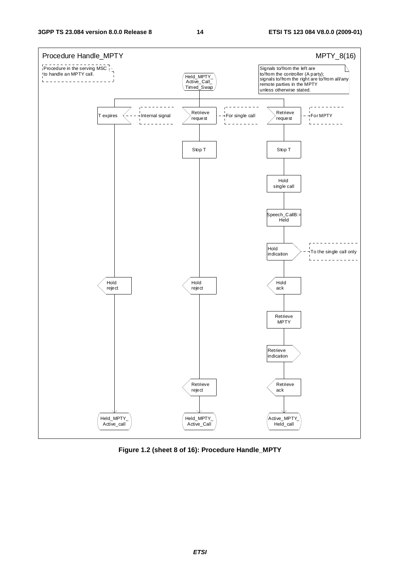**3GPP TS 23.084 version 8.0.0 Release 8 14 ETSI TS 123 084 V8.0.0 (2009-01)**



**Figure 1.2 (sheet 8 of 16): Procedure Handle\_MPTY**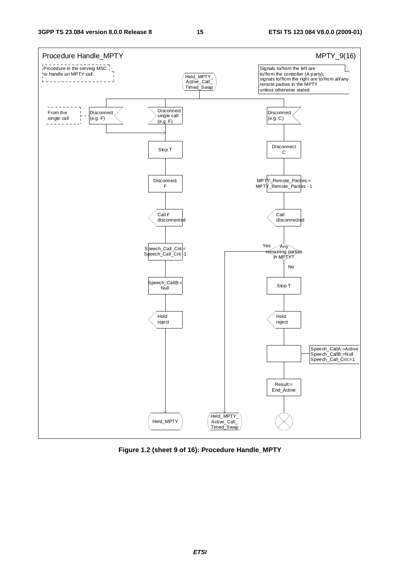

**Figure 1.2 (sheet 9 of 16): Procedure Handle\_MPTY**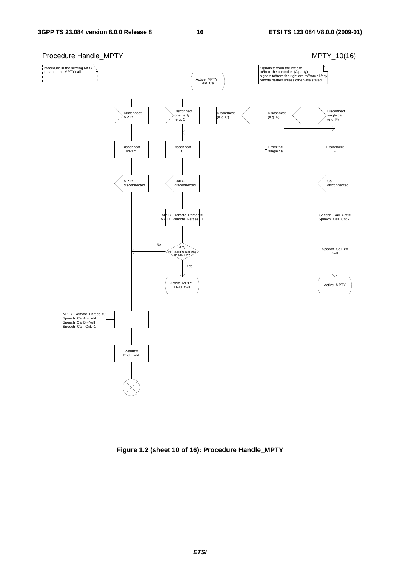

**Figure 1.2 (sheet 10 of 16): Procedure Handle\_MPTY**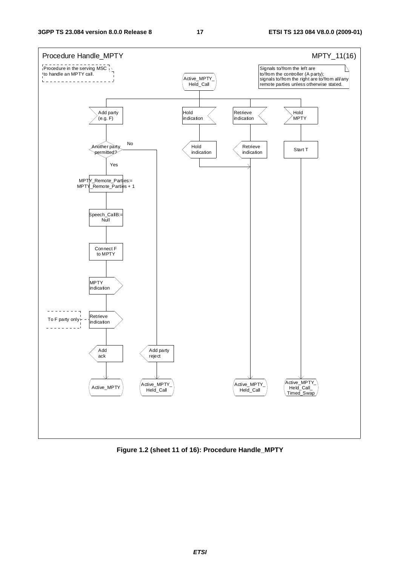

**Figure 1.2 (sheet 11 of 16): Procedure Handle\_MPTY**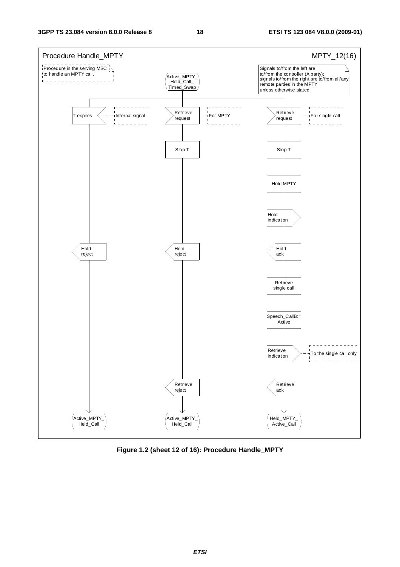

**Figure 1.2 (sheet 12 of 16): Procedure Handle\_MPTY**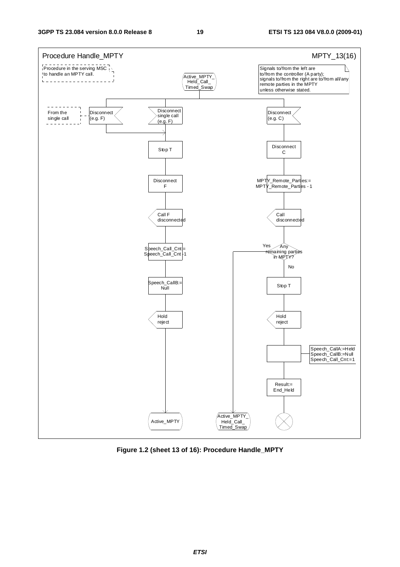

**Figure 1.2 (sheet 13 of 16): Procedure Handle\_MPTY**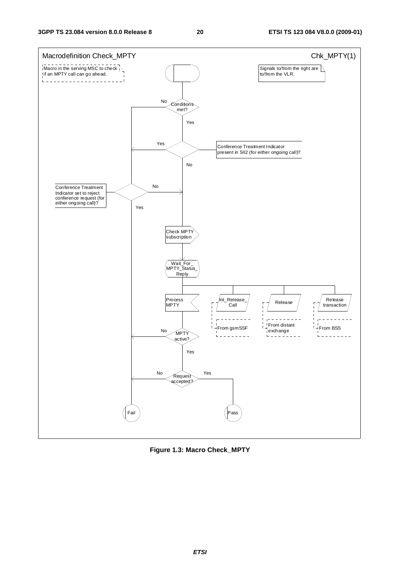

**Figure 1.3: Macro Check\_MPTY**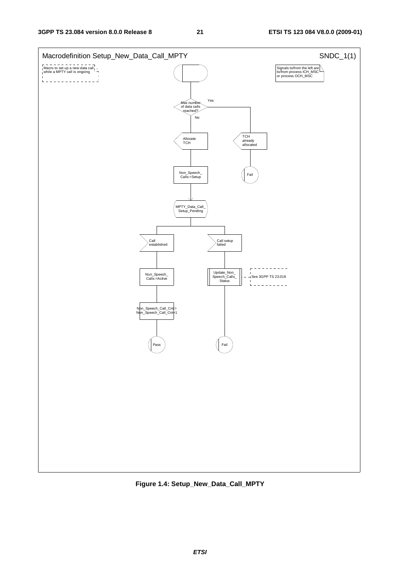

**Figure 1.4: Setup\_New\_Data\_Call\_MPTY**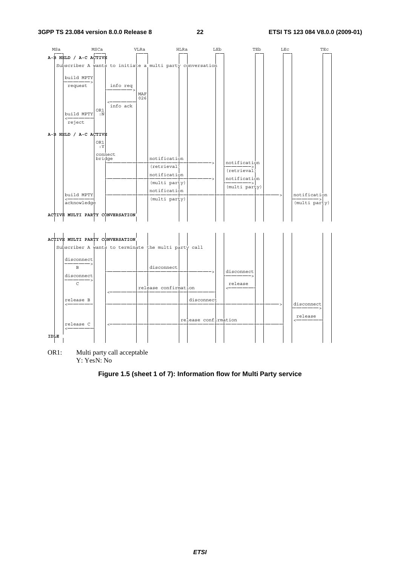

|             | ACTIVE MULTI PARTY CONVERSATION                      |  |  |                      |                      |            |  |            |  |
|-------------|------------------------------------------------------|--|--|----------------------|----------------------|------------|--|------------|--|
|             | Subscriber A wants to terminate the multi party call |  |  |                      |                      |            |  |            |  |
|             | disconnect<br><b>B</b>                               |  |  | disconnect           |                      |            |  |            |  |
|             | disconnect                                           |  |  |                      |                      | disconnect |  |            |  |
|             | $\mathcal{C}$                                        |  |  | release confirmation |                      | release    |  |            |  |
|             | release B<br>$\leftarrow$                            |  |  |                      | disconnect           |            |  | disconnect |  |
|             | release C<br>$\leftarrow$                            |  |  |                      | release confirmation |            |  | release    |  |
| <b>IDLE</b> |                                                      |  |  |                      |                      |            |  |            |  |

OR1: Multi party call acceptable Y: YesN: No

## **Figure 1.5 (sheet 1 of 7): Information flow for Multi Party service**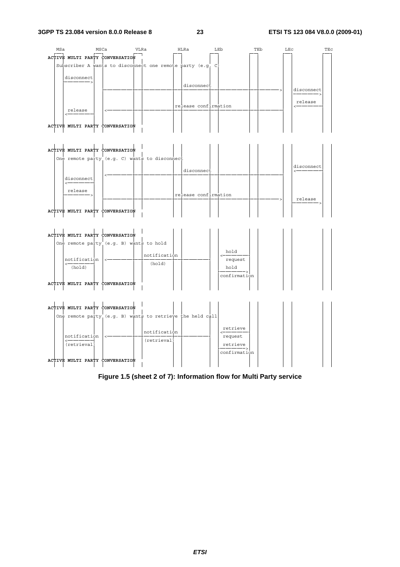

|  | ACTIVE MULTI PARTY CONVERSATION |                                               |  |                                 |
|--|---------------------------------|-----------------------------------------------|--|---------------------------------|
|  |                                 | One remote party (e.g. C) wants to disconnect |  |                                 |
|  |                                 |                                               |  | disconnect<br>disconnect        |
|  | disconnect                      |                                               |  |                                 |
|  | release                         |                                               |  | release confirmation<br>release |
|  | ACTIVE MULTI PARTY CONVERSATION |                                               |  |                                 |

|  |                        | ACTIVE MULTI PARTY CONVERSATION         |                        |                                         |  |  |  |
|--|------------------------|-----------------------------------------|------------------------|-----------------------------------------|--|--|--|
|  |                        | One remote party (e.g. B) wants to hold |                        |                                         |  |  |  |
|  | notification<br>(hold) |                                         | notification<br>(hold) | hold<br>request<br>hold<br>confirmation |  |  |  |
|  |                        | ACTIVE MULTI PARTY CONVERSATION         |                        |                                         |  |  |  |



**Figure 1.5 (sheet 2 of 7): Information flow for Multi Party service**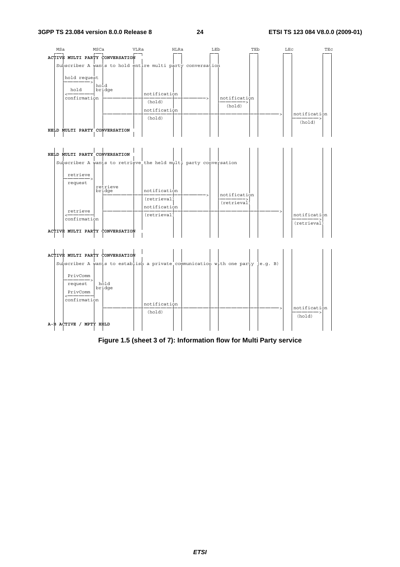

# EXERCIBED NULTI PARTY CONVERSATION<br>
Subscriber A wants to retrieve<br>
request<br>
request<br>
request<br>
retrieve<br>
retrieve<br>
retrieve<br>
retrieve<br>
retrieve<br>
confirmation<br>
(retrieval)<br>
(retrieval)<br>
(retrieval)<br>
(retrieval)<br>
(retrieval)



## **Figure 1.5 (sheet 3 of 7): Information flow for Multi Party service**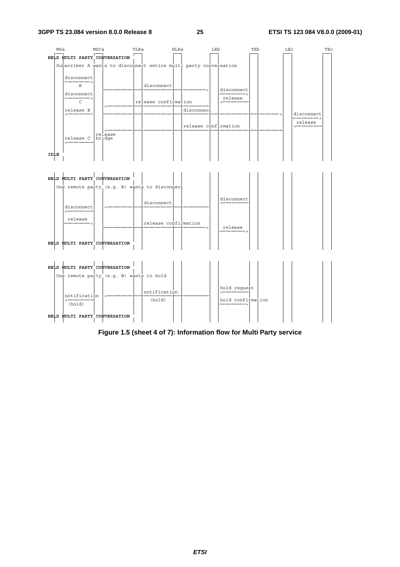





## **Figure 1.5 (sheet 4 of 7): Information flow for Multi Party service**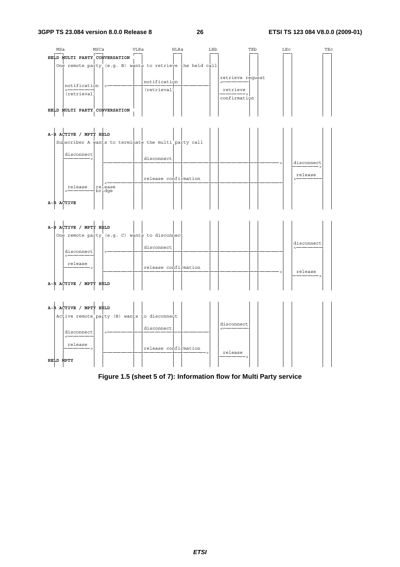

|  | A-B ACTIVE / MPTY HELD |                                               |                                 |  |
|--|------------------------|-----------------------------------------------|---------------------------------|--|
|  |                        | One remote party (e.g. C) wants to disconnect |                                 |  |
|  | disconnect             |                                               | disconnect<br>disconnect        |  |
|  |                        |                                               |                                 |  |
|  | release                |                                               | release confirmation<br>release |  |
|  | A-B ACTIVE / MPTY HELD |                                               |                                 |  |



**Figure 1.5 (sheet 5 of 7): Information flow for Multi Party service**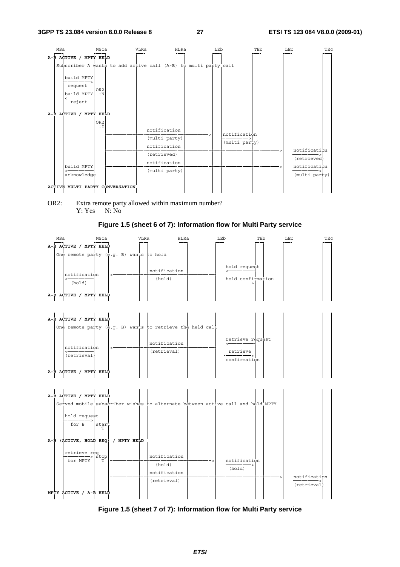

OR2: Extra remote party allowed within maximum number? Y: Yes N: No

## **Figure 1.5 (sheet 6 of 7): Information flow for Multi Party service**



**Figure 1.5 (sheet 7 of 7): Information flow for Multi Party service**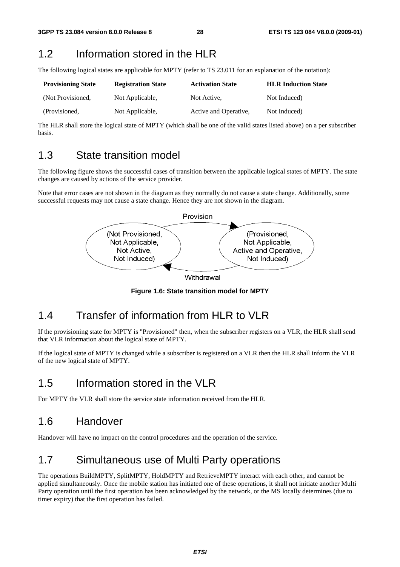## 1.2 Information stored in the HLR

The following logical states are applicable for MPTY (refer to TS 23.011 for an explanation of the notation):

| <b>Provisioning State</b> | <b>Registration State</b> | <b>Activation State</b> | <b>HLR Induction State</b> |
|---------------------------|---------------------------|-------------------------|----------------------------|
| (Not Provisioned,         | Not Applicable,           | Not Active.             | Not Induced)               |
| (Provisioned,             | Not Applicable,           | Active and Operative,   | Not Induced)               |

The HLR shall store the logical state of MPTY (which shall be one of the valid states listed above) on a per subscriber basis.

## 1.3 State transition model

The following figure shows the successful cases of transition between the applicable logical states of MPTY. The state changes are caused by actions of the service provider.

Note that error cases are not shown in the diagram as they normally do not cause a state change. Additionally, some successful requests may not cause a state change. Hence they are not shown in the diagram.



Withdrawal

**Figure 1.6: State transition model for MPTY** 

## 1.4 Transfer of information from HLR to VLR

If the provisioning state for MPTY is "Provisioned" then, when the subscriber registers on a VLR, the HLR shall send that VLR information about the logical state of MPTY.

If the logical state of MPTY is changed while a subscriber is registered on a VLR then the HLR shall inform the VLR of the new logical state of MPTY.

# 1.5 Information stored in the VLR

For MPTY the VLR shall store the service state information received from the HLR.

## 1.6 Handover

Handover will have no impact on the control procedures and the operation of the service.

# 1.7 Simultaneous use of Multi Party operations

The operations BuildMPTY, SplitMPTY, HoldMPTY and RetrieveMPTY interact with each other, and cannot be applied simultaneously. Once the mobile station has initiated one of these operations, it shall not initiate another Multi Party operation until the first operation has been acknowledged by the network, or the MS locally determines (due to timer expiry) that the first operation has failed.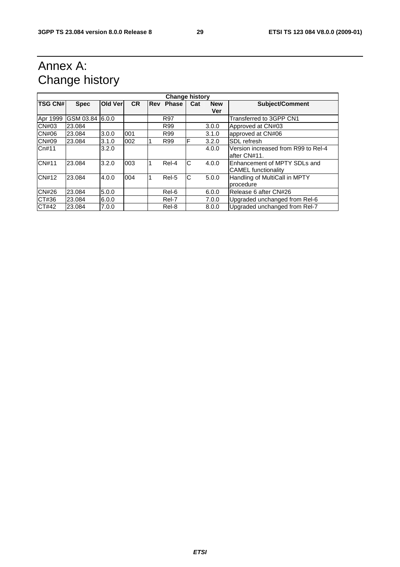# Annex A: Change history

| <b>Change history</b> |                 |         |           |            |              |     |            |                                     |
|-----------------------|-----------------|---------|-----------|------------|--------------|-----|------------|-------------------------------------|
| <b>TSG CN#</b>        | <b>Spec</b>     | Old Ver | <b>CR</b> | <b>Rev</b> | <b>Phase</b> | Cat | <b>New</b> | <b>Subject/Comment</b>              |
|                       |                 |         |           |            |              |     | Ver        |                                     |
| Apr 1999              | GSM 03.84 6.0.0 |         |           |            | <b>R97</b>   |     |            | Transferred to 3GPP CN1             |
| CN#03                 | 23.084          |         |           |            | R99          |     | 3.0.0      | Approved at CN#03                   |
| <b>CN#06</b>          | 23.084          | 3.0.0   | 001       |            | R99          |     | 3.1.0      | approved at CN#06                   |
| <b>CN#09</b>          | 23.084          | 3.1.0   | 002       |            | R99          | F   | 3.2.0      | SDL refresh                         |
| Cn#11                 |                 | 3.2.0   |           |            |              |     | 4.0.0      | Version increased from R99 to Rel-4 |
|                       |                 |         |           |            |              |     |            | after CN#11.                        |
| <b>CN#11</b>          | 23.084          | 3.2.0   | 003       | 1          | Rel-4        | С   | 4.0.0      | Enhancement of MPTY SDLs and        |
|                       |                 |         |           |            |              |     |            | <b>CAMEL</b> functionality          |
| CN#12                 | 23.084          | 4.0.0   | 004       |            | Rel-5        | lC. | 5.0.0      | Handling of MultiCall in MPTY       |
|                       |                 |         |           |            |              |     |            | procedure                           |
| <b>CN#26</b>          | 23.084          | 5.0.0   |           |            | Rel-6        |     | 6.0.0      | Release 6 after CN#26               |
| CT#36                 | 23.084          | 6.0.0   |           |            | Rel-7        |     | 7.0.0      | Upgraded unchanged from Rel-6       |
| CT#42                 | 23.084          | 7.0.0   |           |            | Rel-8        |     | 8.0.0      | Upgraded unchanged from Rel-7       |